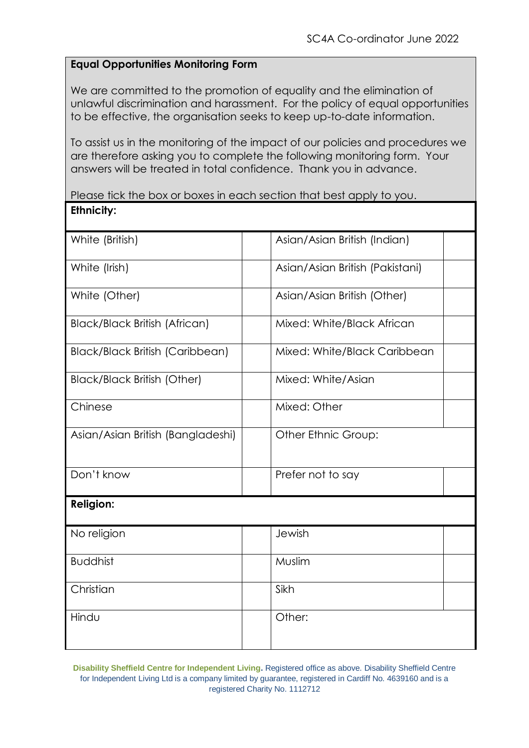## **Equal Opportunities Monitoring Form**

We are committed to the promotion of equality and the elimination of unlawful discrimination and harassment. For the policy of equal opportunities to be effective, the organisation seeks to keep up-to-date information.

To assist us in the monitoring of the impact of our policies and procedures we are therefore asking you to complete the following monitoring form. Your answers will be treated in total confidence. Thank you in advance.

Please tick the box or boxes in each section that best apply to you. **Ethnicity:** 

| White (British)                        | Asian/Asian British (Indian)    |  |
|----------------------------------------|---------------------------------|--|
| White (Irish)                          | Asian/Asian British (Pakistani) |  |
| White (Other)                          | Asian/Asian British (Other)     |  |
| <b>Black/Black British (African)</b>   | Mixed: White/Black African      |  |
| <b>Black/Black British (Caribbean)</b> | Mixed: White/Black Caribbean    |  |
| <b>Black/Black British (Other)</b>     | Mixed: White/Asian              |  |
| Chinese                                | Mixed: Other                    |  |
| Asian/Asian British (Bangladeshi)      | Other Ethnic Group:             |  |
| Don't know                             | Prefer not to say               |  |
| <b>Religion:</b>                       |                                 |  |
| No religion                            | Jewish                          |  |
| <b>Buddhist</b>                        | Muslim                          |  |
| Christian                              | Sikh                            |  |
| Hindu                                  | Other:                          |  |

**Disability Sheffield Centre for Independent Living.** Registered office as above. Disability Sheffield Centre for Independent Living Ltd is a company limited by guarantee, registered in Cardiff No. 4639160 and is a registered Charity No. 1112712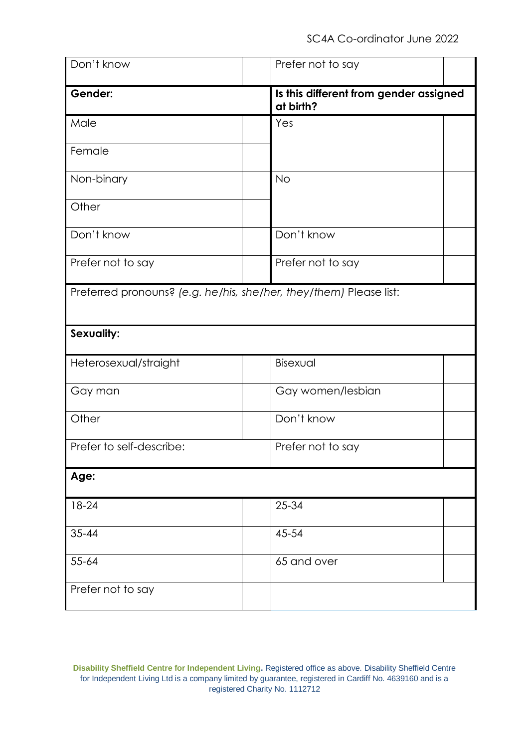| Don't know                                                         | Prefer not to say                                   |  |
|--------------------------------------------------------------------|-----------------------------------------------------|--|
| Gender:                                                            | Is this different from gender assigned<br>at birth? |  |
| Male                                                               | Yes                                                 |  |
| Female                                                             |                                                     |  |
| Non-binary                                                         | <b>No</b>                                           |  |
| Other                                                              |                                                     |  |
| Don't know                                                         | Don't know                                          |  |
| Prefer not to say                                                  | Prefer not to say                                   |  |
| Preferred pronouns? (e.g. he/his, she/her, they/them) Please list: |                                                     |  |
| Sexuality:                                                         |                                                     |  |
| Heterosexual/straight                                              | Bisexual                                            |  |
| Gay man                                                            | Gay women/lesbian                                   |  |
| Other                                                              | Don't know                                          |  |
| Prefer to self-describe:                                           | Prefer not to say                                   |  |
| Age:                                                               |                                                     |  |
| $18 - 24$                                                          | 25-34                                               |  |
| $35 - 44$                                                          | 45-54                                               |  |
| $55 - 64$                                                          | 65 and over                                         |  |
| Prefer not to say                                                  |                                                     |  |

**Disability Sheffield Centre for Independent Living.** Registered office as above. Disability Sheffield Centre for Independent Living Ltd is a company limited by guarantee, registered in Cardiff No. 4639160 and is a registered Charity No. 1112712